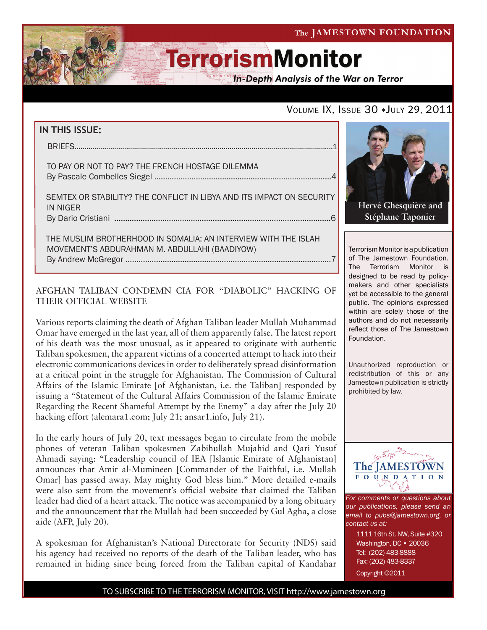The JAMESTOWN FOUNDATION

# **TerrorismMonitor**

**In-Depth Analysis of the War on Terror** 

### VOLUME IX, ISSUE 30 + JULY 29, 2011

#### **IN THIS ISSUE:**

briefs..................................................................................................................................1

 to pay or not to pay? the french hostage dilemma By Pascale Combelles Siegel .................................................................................4

 semtex or stability? the conflict in libya and its impact on security in niger by Dario Cristiani ...................................................................................................6

 the muslim brotherhood in somalia: an interview with the islah movement's abdurahman M. Abdullahi (baadiyow) By Andrew McGregor ..............................................................................................7

#### AFGHAN TALIBAN CONDEMN CIA FOR "DIABOLIC" HACKING OF THEIR OFFICIAL WEBSITE

Various reports claiming the death of Afghan Taliban leader Mullah Muhammad Omar have emerged in the last year, all of them apparently false. The latest report of his death was the most unusual, as it appeared to originate with authentic Taliban spokesmen, the apparent victims of a concerted attempt to hack into their electronic communications devices in order to deliberately spread disinformation at a critical point in the struggle for Afghanistan. The Commission of Cultural Affairs of the Islamic Emirate [of Afghanistan, i.e. the Taliban] responded by issuing a "Statement of the Cultural Affairs Commission of the Islamic Emirate Regarding the Recent Shameful Attempt by the Enemy" a day after the July 20 hacking effort (alemara1.com; July 21; ansar1.info, July 21).

In the early hours of July 20, text messages began to circulate from the mobile phones of veteran Taliban spokesmen Zabihullah Mujahid and Qari Yusuf Ahmadi saying: "Leadership council of IEA [Islamic Emirate of Afghanistan] announces that Amir al-Mumineen [Commander of the Faithful, i.e. Mullah Omar] has passed away. May mighty God bless him." More detailed e-mails were also sent from the movement's official website that claimed the Taliban leader had died of a heart attack. The notice was accompanied by a long obituary and the announcement that the Mullah had been succeeded by Gul Agha, a close aide (AFP, July 20).

A spokesman for Afghanistan's National Directorate for Security (NDS) said his agency had received no reports of the death of the Taliban leader, who has remained in hiding since being forced from the Taliban capital of Kandahar



**Stéphane Taponier**

Terrorism Monitor is a publication of The Jamestown Foundation. The Terrorism Monitor is designed to be read by policymakers and other specialists yet be accessible to the general public. The opinions expressed within are solely those of the authors and do not necessarily reflect those of The Jamestown Foundation.

Unauthorized reproduction or redistribution of this or any Jamestown publication is strictly prohibited by law.



*For comments or questions about our publications, please send an email to pubs@jamestown.org, or contact us at:* 

> 1111 16th St. NW, Suite #320 Washington, DC • 20036 Tel: (202) 483-8888 Fax: (202) 483-8337 Copyright ©2011

TO SUBSCRIBE TO THE TERRORISM MONITOR, VISIT http://www.jamestown.org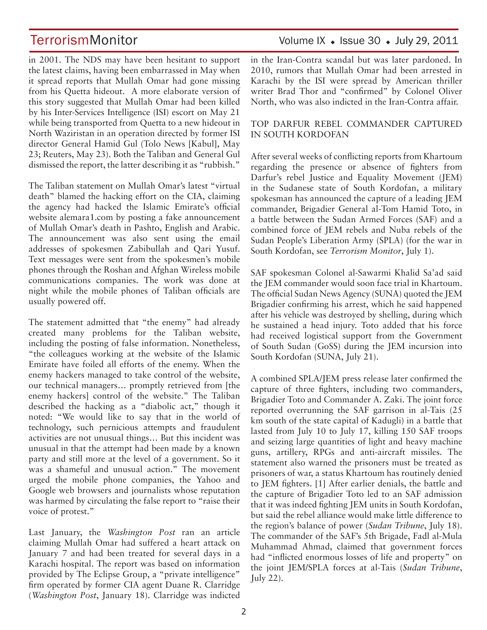in 2001. The NDS may have been hesitant to support the latest claims, having been embarrassed in May when it spread reports that Mullah Omar had gone missing from his Quetta hideout. A more elaborate version of this story suggested that Mullah Omar had been killed by his Inter-Services Intelligence (ISI) escort on May 21 while being transported from Quetta to a new hideout in North Waziristan in an operation directed by former ISI director General Hamid Gul (Tolo News [Kabul], May 23; Reuters, May 23). Both the Taliban and General Gul dismissed the report, the latter describing it as "rubbish."

The Taliban statement on Mullah Omar's latest "virtual death" blamed the hacking effort on the CIA, claiming the agency had hacked the Islamic Emirate's official website alemara1.com by posting a fake announcement of Mullah Omar's death in Pashto, English and Arabic. The announcement was also sent using the email addresses of spokesmen Zabibullah and Qari Yusuf. Text messages were sent from the spokesmen's mobile phones through the Roshan and Afghan Wireless mobile communications companies. The work was done at night while the mobile phones of Taliban officials are usually powered off.

The statement admitted that "the enemy" had already created many problems for the Taliban website, including the posting of false information. Nonetheless, "the colleagues working at the website of the Islamic Emirate have foiled all efforts of the enemy. When the enemy hackers managed to take control of the website, our technical managers… promptly retrieved from [the enemy hackers] control of the website." The Taliban described the hacking as a "diabolic act," though it noted: "We would like to say that in the world of technology, such pernicious attempts and fraudulent activities are not unusual things… But this incident was unusual in that the attempt had been made by a known party and still more at the level of a government. So it was a shameful and unusual action." The movement urged the mobile phone companies, the Yahoo and Google web browsers and journalists whose reputation was harmed by circulating the false report to "raise their voice of protest."

Last January, the *Washington Post* ran an article claiming Mullah Omar had suffered a heart attack on January 7 and had been treated for several days in a Karachi hospital. The report was based on information provided by The Eclipse Group, a "private intelligence" firm operated by former CIA agent Duane R. Clarridge (*Washington Post*, January 18). Clarridge was indicted

# TerrorismMonitor Volume IX + Issue 30 + July 29, 2011

in the Iran-Contra scandal but was later pardoned. In 2010, rumors that Mullah Omar had been arrested in Karachi by the ISI were spread by American thriller writer Brad Thor and "confirmed" by Colonel Oliver North, who was also indicted in the Iran-Contra affair.

#### TOP DARFUR REBEL COMMANDER CAPTURED IN SOUTH KORDOFAN

After several weeks of conflicting reports from Khartoum regarding the presence or absence of fighters from Darfur's rebel Justice and Equality Movement (JEM) in the Sudanese state of South Kordofan, a military spokesman has announced the capture of a leading JEM commander, Brigadier General al-Tom Hamid Toto, in a battle between the Sudan Armed Forces (SAF) and a combined force of JEM rebels and Nuba rebels of the Sudan People's Liberation Army (SPLA) (for the war in South Kordofan, see *Terrorism Monitor*, July 1).

SAF spokesman Colonel al-Sawarmi Khalid Sa'ad said the JEM commander would soon face trial in Khartoum. The official Sudan News Agency (SUNA) quoted the JEM Brigadier confirming his arrest, which he said happened after his vehicle was destroyed by shelling, during which he sustained a head injury. Toto added that his force had received logistical support from the Government of South Sudan (GoSS) during the JEM incursion into South Kordofan (SUNA, July 21).

A combined SPLA/JEM press release later confirmed the capture of three fighters, including two commanders, Brigadier Toto and Commander A. Zaki. The joint force reported overrunning the SAF garrison in al-Tais (25 km south of the state capital of Kadugli) in a battle that lasted from July 10 to July 17, killing 150 SAF troops and seizing large quantities of light and heavy machine guns, artillery, RPGs and anti-aircraft missiles. The statement also warned the prisoners must be treated as prisoners of war, a status Khartoum has routinely denied to JEM fighters. [1] After earlier denials, the battle and the capture of Brigadier Toto led to an SAF admission that it was indeed fighting JEM units in South Kordofan, but said the rebel alliance would make little difference to the region's balance of power (*Sudan Tribune*, July 18). The commander of the SAF's 5th Brigade, Fadl al-Mula Muhammad Ahmad, claimed that government forces had "inflicted enormous losses of life and property" on the joint JEM/SPLA forces at al-Tais (*Sudan Tribune*, July 22).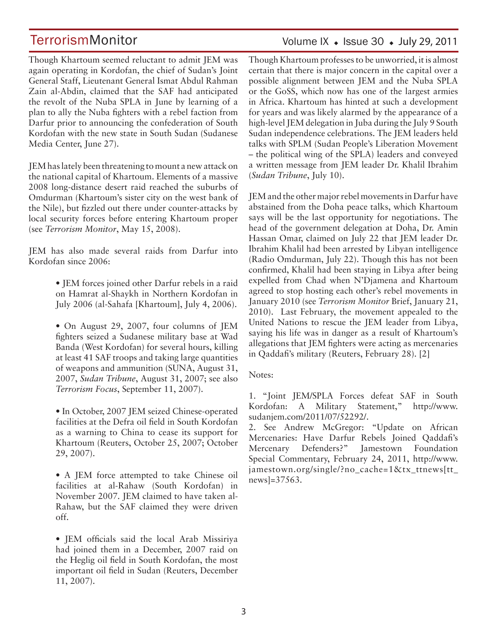### Volume IX  $\bullet$  Issue 30  $\bullet$  July 29, 2011

Though Khartoum seemed reluctant to admit JEM was again operating in Kordofan, the chief of Sudan's Joint General Staff, Lieutenant General Ismat Abdul Rahman Zain al-Abdin, claimed that the SAF had anticipated the revolt of the Nuba SPLA in June by learning of a plan to ally the Nuba fighters with a rebel faction from Darfur prior to announcing the confederation of South Kordofan with the new state in South Sudan (Sudanese Media Center, June 27).

JEM has lately been threatening to mount a new attack on the national capital of Khartoum. Elements of a massive 2008 long-distance desert raid reached the suburbs of Omdurman (Khartoum's sister city on the west bank of the Nile), but fizzled out there under counter-attacks by local security forces before entering Khartoum proper (see *Terrorism Monitor*, May 15, 2008).

JEM has also made several raids from Darfur into Kordofan since 2006:

> • JEM forces joined other Darfur rebels in a raid on Hamrat al-Shaykh in Northern Kordofan in July 2006 (al-Sahafa [Khartoum], July 4, 2006).

> • On August 29, 2007, four columns of JEM fighters seized a Sudanese military base at Wad Banda (West Kordofan) for several hours, killing at least 41 SAF troops and taking large quantities of weapons and ammunition (SUNA, August 31, 2007, *Sudan Tribune*, August 31, 2007; see also *Terrorism Focus*, September 11, 2007).

> • In October, 2007 JEM seized Chinese-operated facilities at the Defra oil field in South Kordofan as a warning to China to cease its support for Khartoum (Reuters, October 25, 2007; October 29, 2007).

> • A JEM force attempted to take Chinese oil facilities at al-Rahaw (South Kordofan) in November 2007. JEM claimed to have taken al-Rahaw, but the SAF claimed they were driven off.

> • JEM officials said the local Arab Missiriya had joined them in a December, 2007 raid on the Heglig oil field in South Kordofan, the most important oil field in Sudan (Reuters, December 11, 2007).

Though Khartoum professes to be unworried, it is almost certain that there is major concern in the capital over a possible alignment between JEM and the Nuba SPLA or the GoSS, which now has one of the largest armies in Africa. Khartoum has hinted at such a development for years and was likely alarmed by the appearance of a high-level JEM delegation in Juba during the July 9 South Sudan independence celebrations. The JEM leaders held talks with SPLM (Sudan People's Liberation Movement – the political wing of the SPLA) leaders and conveyed a written message from JEM leader Dr. Khalil Ibrahim (*Sudan Tribune*, July 10).

JEM and the other major rebel movements in Darfur have abstained from the Doha peace talks, which Khartoum says will be the last opportunity for negotiations. The head of the government delegation at Doha, Dr. Amin Hassan Omar, claimed on July 22 that JEM leader Dr. Ibrahim Khalil had been arrested by Libyan intelligence (Radio Omdurman, July 22). Though this has not been confirmed, Khalil had been staying in Libya after being expelled from Chad when N'Djamena and Khartoum agreed to stop hosting each other's rebel movements in January 2010 (see *Terrorism Monitor* Brief, January 21, 2010). Last February, the movement appealed to the United Nations to rescue the JEM leader from Libya, saying his life was in danger as a result of Khartoum's allegations that JEM fighters were acting as mercenaries in Qaddafi's military (Reuters, February 28). [2]

Notes:

1. "Joint JEM/SPLA Forces defeat SAF in South Kordofan: A Military Statement," http://www. sudanjem.com/2011/07/52292/.

2. See Andrew McGregor: "Update on African Mercenaries: Have Darfur Rebels Joined Qaddafi's Mercenary Defenders?" Jamestown Foundation Special Commentary, February 24, 2011, http://www. jamestown.org/single/?no\_cache=1&tx\_ttnews[tt\_ news]=37563.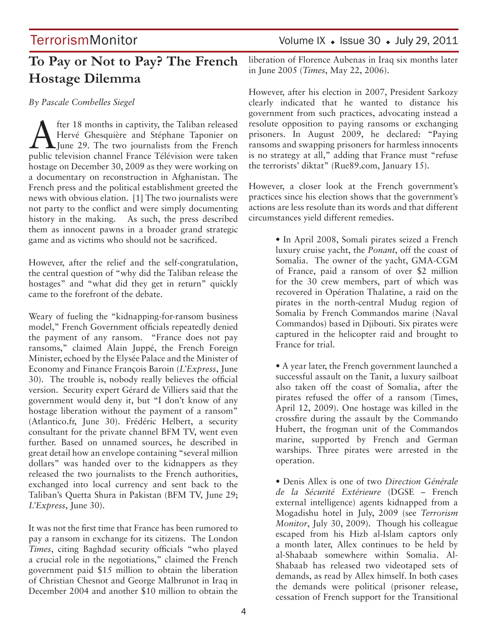# **To Pay or Not to Pay? The French Hostage Dilemma**

#### *By Pascale Combelles Siegel*

**A** fter 18 months in captivity, the Taliban released<br>Hervé Ghesquière and Stéphane Taponier on<br>June 29. The two journalists from the French<br>muhlia television shannel France Télévision was telem Hervé Ghesquière and Stéphane Taponier on June 29. The two journalists from the French public television channel France Télévision were taken hostage on December 30, 2009 as they were working on a documentary on reconstruction in Afghanistan. The French press and the political establishment greeted the news with obvious elation. [1] The two journalists were not party to the conflict and were simply documenting history in the making. As such, the press described them as innocent pawns in a broader grand strategic game and as victims who should not be sacrificed.

However, after the relief and the self-congratulation, the central question of "why did the Taliban release the hostages" and "what did they get in return" quickly came to the forefront of the debate.

Weary of fueling the "kidnapping-for-ransom business model," French Government officials repeatedly denied the payment of any ransom. "France does not pay ransoms," claimed Alain Juppé, the French Foreign Minister, echoed by the Elysée Palace and the Minister of Economy and Finance François Baroin (*L'Express*, June 30). The trouble is, nobody really believes the official version. Security expert Gérard de Villiers said that the government would deny it, but "I don't know of any hostage liberation without the payment of a ransom" (Atlantico.fr, June 30). Frédéric Helbert, a security consultant for the private channel BFM TV, went even further. Based on unnamed sources, he described in great detail how an envelope containing "several million dollars" was handed over to the kidnappers as they released the two journalists to the French authorities, exchanged into local currency and sent back to the Taliban's Quetta Shura in Pakistan (BFM TV, June 29; *L'Express*, June 30).

It was not the first time that France has been rumored to pay a ransom in exchange for its citizens. The London *Times*, citing Baghdad security officials "who played a crucial role in the negotiations," claimed the French government paid \$15 million to obtain the liberation of Christian Chesnot and George Malbrunot in Iraq in December 2004 and another \$10 million to obtain the

# TerrorismMonitor Volume IX • Issue 30 • July 29, 2011

liberation of Florence Aubenas in Iraq six months later in June 2005 (*Times*, May 22, 2006).

However, after his election in 2007, President Sarkozy clearly indicated that he wanted to distance his government from such practices, advocating instead a resolute opposition to paying ransoms or exchanging prisoners. In August 2009, he declared: "Paying ransoms and swapping prisoners for harmless innocents is no strategy at all," adding that France must "refuse the terrorists' diktat" (Rue89.com, January 15).

However, a closer look at the French government's practices since his election shows that the government's actions are less resolute than its words and that different circumstances yield different remedies.

> • In April 2008, Somali pirates seized a French luxury cruise yacht, the *Ponant*, off the coast of Somalia. The owner of the yacht, GMA-CGM of France, paid a ransom of over \$2 million for the 30 crew members, part of which was recovered in Opération Thalatine, a raid on the pirates in the north-central Mudug region of Somalia by French Commandos marine (Naval Commandos) based in Djibouti. Six pirates were captured in the helicopter raid and brought to France for trial.

> • A year later, the French government launched a successful assault on the Tanit, a luxury sailboat also taken off the coast of Somalia, after the pirates refused the offer of a ransom (Times, April 12, 2009). One hostage was killed in the crossfire during the assault by the Commando Hubert, the frogman unit of the Commandos marine, supported by French and German warships. Three pirates were arrested in the operation.

> • Denis Allex is one of two *Direction Générale de la Sécurité Extérieure* (DGSE – French external intelligence) agents kidnapped from a Mogadishu hotel in July, 2009 (see *Terrorism Monitor*, July 30, 2009). Though his colleague escaped from his Hizb al-Islam captors only a month later, Allex continues to be held by al-Shabaab somewhere within Somalia. Al-Shabaab has released two videotaped sets of demands, as read by Allex himself. In both cases the demands were political (prisoner release, cessation of French support for the Transitional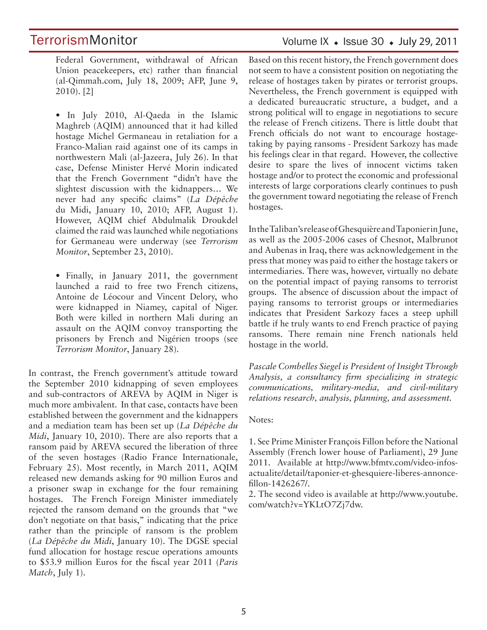### Volume IX  $\bullet$  Issue 30  $\bullet$  July 29, 2011

Federal Government, withdrawal of African Union peacekeepers, etc) rather than financial (al-Qimmah.com, July 18, 2009; AFP, June 9, 2010). [2]

• In July 2010, Al-Qaeda in the Islamic Maghreb (AQIM) announced that it had killed hostage Michel Germaneau in retaliation for a Franco-Malian raid against one of its camps in northwestern Mali (al-Jazeera, July 26). In that case, Defense Minister Hervé Morin indicated that the French Government "didn't have the slightest discussion with the kidnappers… We never had any specific claims" (*La Dépêche*  du Midi, January 10, 2010; AFP, August 1). However, AQIM chief Abdulmalik Droukdel claimed the raid was launched while negotiations for Germaneau were underway (see *Terrorism Monitor*, September 23, 2010).

• Finally, in January 2011, the government launched a raid to free two French citizens, Antoine de Léocour and Vincent Delory, who were kidnapped in Niamey, capital of Niger. Both were killed in northern Mali during an assault on the AQIM convoy transporting the prisoners by French and Nigérien troops (see *Terrorism Monitor*, January 28).

In contrast, the French government's attitude toward the September 2010 kidnapping of seven employees and sub-contractors of AREVA by AQIM in Niger is much more ambivalent. In that case, contacts have been established between the government and the kidnappers and a mediation team has been set up (*La Dépêche du Midi*, January 10, 2010). There are also reports that a ransom paid by AREVA secured the liberation of three of the seven hostages (Radio France Internationale, February 25). Most recently, in March 2011, AQIM released new demands asking for 90 million Euros and a prisoner swap in exchange for the four remaining hostages. The French Foreign Minister immediately rejected the ransom demand on the grounds that "we don't negotiate on that basis," indicating that the price rather than the principle of ransom is the problem (*La Dépêche du Midi*, January 10). The DGSE special fund allocation for hostage rescue operations amounts to \$53.9 million Euros for the fiscal year 2011 (*Paris Match*, July 1).

Based on this recent history, the French government does not seem to have a consistent position on negotiating the release of hostages taken by pirates or terrorist groups. Nevertheless, the French government is equipped with a dedicated bureaucratic structure, a budget, and a strong political will to engage in negotiations to secure the release of French citizens. There is little doubt that French officials do not want to encourage hostagetaking by paying ransoms - President Sarkozy has made his feelings clear in that regard. However, the collective desire to spare the lives of innocent victims taken hostage and/or to protect the economic and professional interests of large corporations clearly continues to push the government toward negotiating the release of French hostages.

In the Taliban's release of Ghesquière and Taponier in June, as well as the 2005-2006 cases of Chesnot, Malbrunot and Aubenas in Iraq, there was acknowledgement in the press that money was paid to either the hostage takers or intermediaries. There was, however, virtually no debate on the potential impact of paying ransoms to terrorist groups. The absence of discussion about the impact of paying ransoms to terrorist groups or intermediaries indicates that President Sarkozy faces a steep uphill battle if he truly wants to end French practice of paying ransoms. There remain nine French nationals held hostage in the world.

*Pascale Combelles Siegel is President of Insight Through Analysis, a consultancy firm specializing in strategic communications, military-media, and civil-military relations research, analysis, planning, and assessment.* 

#### Notes:

1. See Prime Minister François Fillon before the National Assembly (French lower house of Parliament), 29 June 2011. Available at http://www.bfmtv.com/video-infosactualite/detail/taponier-et-ghesquiere-liberes-annoncefillon-1426267/.

2. The second video is available at http://www.youtube. com/watch?v=YKLtO7Zj7dw.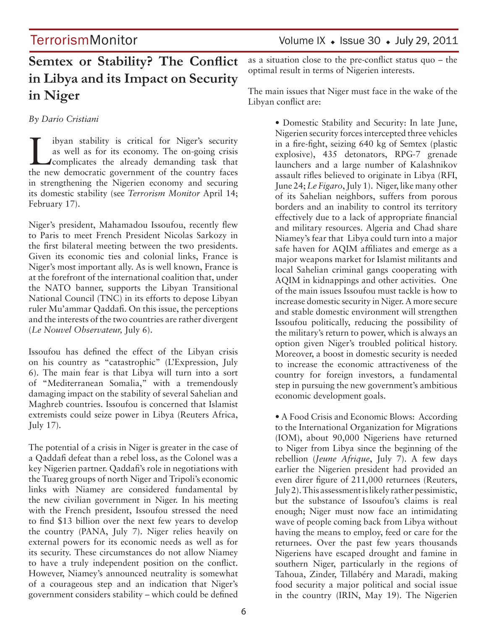# **Semtex or Stability? The Conflict in Libya and its Impact on Security in Niger**

*By Dario Cristiani*

I ibyan stability is critical for Niger's security<br>as well as for its economy. The on-going crisis<br>complicates the already demanding task that as well as for its economy. The on-going crisis the new democratic government of the country faces in strengthening the Nigerien economy and securing its domestic stability (see *Terrorism Monitor* April 14; February 17).

Niger's president, Mahamadou Issoufou, recently flew to Paris to meet French President Nicolas Sarkozy in the first bilateral meeting between the two presidents. Given its economic ties and colonial links, France is Niger's most important ally. As is well known, France is at the forefront of the international coalition that, under the NATO banner, supports the Libyan Transitional National Council (TNC) in its efforts to depose Libyan ruler Mu'ammar Qaddafi. On this issue, the perceptions and the interests of the two countries are rather divergent (*Le Nouvel Observateur,* July 6).

Issoufou has defined the effect of the Libyan crisis on his country as "catastrophic" (L'Expression, July 6). The main fear is that Libya will turn into a sort of "Mediterranean Somalia," with a tremendously damaging impact on the stability of several Sahelian and Maghreb countries. Issoufou is concerned that Islamist extremists could seize power in Libya (Reuters Africa, July 17).

The potential of a crisis in Niger is greater in the case of a Qaddafi defeat than a rebel loss, as the Colonel was a key Nigerien partner. Qaddafi's role in negotiations with the Tuareg groups of north Niger and Tripoli's economic links with Niamey are considered fundamental by the new civilian government in Niger. In his meeting with the French president, Issoufou stressed the need to find \$13 billion over the next few years to develop the country (PANA, July 7). Niger relies heavily on external powers for its economic needs as well as for its security. These circumstances do not allow Niamey to have a truly independent position on the conflict. However, Niamey's announced neutrality is somewhat of a courageous step and an indication that Niger's government considers stability – which could be defined

as a situation close to the pre-conflict status quo – the optimal result in terms of Nigerien interests.

The main issues that Niger must face in the wake of the Libyan conflict are:

> • Domestic Stability and Security: In late June, Nigerien security forces intercepted three vehicles in a fire-fight, seizing 640 kg of Semtex (plastic explosive), 435 detonators, RPG-7 grenade launchers and a large number of Kalashnikov assault rifles believed to originate in Libya (RFI, June 24; *Le Figaro*, July 1). Niger, like many other of its Sahelian neighbors, suffers from porous borders and an inability to control its territory effectively due to a lack of appropriate financial and military resources. Algeria and Chad share Niamey's fear that Libya could turn into a major safe haven for AQIM affiliates and emerge as a major weapons market for Islamist militants and local Sahelian criminal gangs cooperating with AQIM in kidnappings and other activities. One of the main issues Issoufou must tackle is how to increase domestic security in Niger. A more secure and stable domestic environment will strengthen Issoufou politically, reducing the possibility of the military's return to power, which is always an option given Niger's troubled political history. Moreover, a boost in domestic security is needed to increase the economic attractiveness of the country for foreign investors, a fundamental step in pursuing the new government's ambitious economic development goals.

> • A Food Crisis and Economic Blows: According to the International Organization for Migrations (IOM), about 90,000 Nigeriens have returned to Niger from Libya since the beginning of the rebellion (*Jeune Afrique*, July 7). A few days earlier the Nigerien president had provided an even direr figure of 211,000 returnees (Reuters, July 2). This assessment is likely rather pessimistic, but the substance of Issoufou's claims is real enough; Niger must now face an intimidating wave of people coming back from Libya without having the means to employ, feed or care for the returnees. Over the past few years thousands Nigeriens have escaped drought and famine in southern Niger, particularly in the regions of Tahoua, Zinder, Tillabéry and Maradi, making food security a major political and social issue in the country (IRIN, May 19). The Nigerien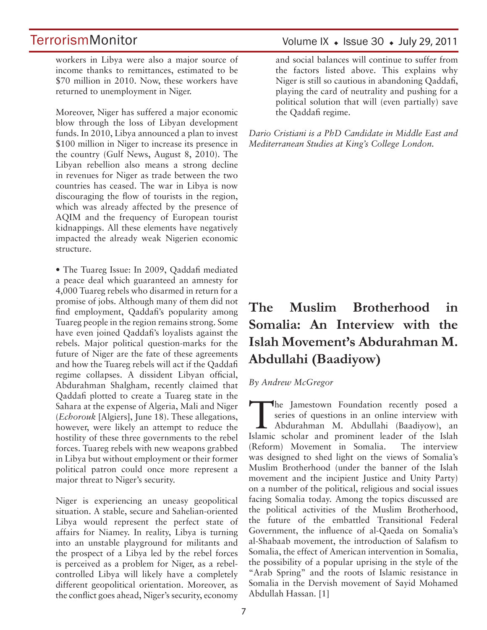workers in Libya were also a major source of income thanks to remittances, estimated to be \$70 million in 2010. Now, these workers have returned to unemployment in Niger.

Moreover, Niger has suffered a major economic blow through the loss of Libyan development funds. In 2010, Libya announced a plan to invest \$100 million in Niger to increase its presence in the country (Gulf News, August 8, 2010). The Libyan rebellion also means a strong decline in revenues for Niger as trade between the two countries has ceased. The war in Libya is now discouraging the flow of tourists in the region, which was already affected by the presence of AQIM and the frequency of European tourist kidnappings. All these elements have negatively impacted the already weak Nigerien economic structure.

• The Tuareg Issue: In 2009, Qaddafi mediated a peace deal which guaranteed an amnesty for 4,000 Tuareg rebels who disarmed in return for a promise of jobs. Although many of them did not find employment, Qaddafi's popularity among Tuareg people in the region remains strong. Some have even joined Qaddafi's loyalists against the rebels. Major political question-marks for the future of Niger are the fate of these agreements and how the Tuareg rebels will act if the Qaddafi regime collapses. A dissident Libyan official, Abdurahman Shalgham, recently claimed that Qaddafi plotted to create a Tuareg state in the Sahara at the expense of Algeria, Mali and Niger (*Echorouk* [Algiers], June 18). These allegations, however, were likely an attempt to reduce the hostility of these three governments to the rebel forces. Tuareg rebels with new weapons grabbed in Libya but without employment or their former political patron could once more represent a major threat to Niger's security.

Niger is experiencing an uneasy geopolitical situation. A stable, secure and Sahelian-oriented Libya would represent the perfect state of affairs for Niamey. In reality, Libya is turning into an unstable playground for militants and the prospect of a Libya led by the rebel forces is perceived as a problem for Niger, as a rebelcontrolled Libya will likely have a completely different geopolitical orientation. Moreover, as the conflict goes ahead, Niger's security, economy

### Volume IX  $\bullet$  Issue 30  $\bullet$  July 29, 2011

and social balances will continue to suffer from the factors listed above. This explains why Niger is still so cautious in abandoning Qaddafi, playing the card of neutrality and pushing for a political solution that will (even partially) save the Qaddafi regime.

*Dario Cristiani is a PhD Candidate in Middle East and Mediterranean Studies at King's College London.*

# **The Muslim Brotherhood in Somalia: An Interview with the Islah Movement's Abdurahman M. Abdullahi (Baadiyow)**

#### *By Andrew McGregor*

The Jamestown Foundation recently posed a series of questions in an online interview with Abdurahman M. Abdullahi (Baadiyow), an series of questions in an online interview with Islamic scholar and prominent leader of the Islah (Reform) Movement in Somalia. The interview was designed to shed light on the views of Somalia's Muslim Brotherhood (under the banner of the Islah movement and the incipient Justice and Unity Party) on a number of the political, religious and social issues facing Somalia today. Among the topics discussed are the political activities of the Muslim Brotherhood, the future of the embattled Transitional Federal Government, the influence of al-Qaeda on Somalia's al-Shabaab movement, the introduction of Salafism to Somalia, the effect of American intervention in Somalia, the possibility of a popular uprising in the style of the "Arab Spring" and the roots of Islamic resistance in Somalia in the Dervish movement of Sayid Mohamed Abdullah Hassan. [1]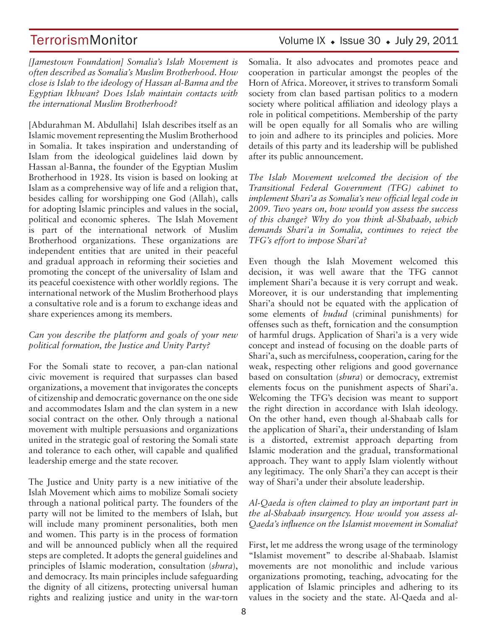# TerrorismMonitor Volume IX + Issue 30 + July 29, 2011

*[Jamestown Foundation] Somalia's Islah Movement is often described as Somalia's Muslim Brotherhood. How close is Islah to the ideology of Hassan al-Banna and the Egyptian Ikhwan? Does Islah maintain contacts with the international Muslim Brotherhood?*

[Abdurahman M. Abdullahi] Islah describes itself as an Islamic movement representing the Muslim Brotherhood in Somalia. It takes inspiration and understanding of Islam from the ideological guidelines laid down by Hassan al-Banna, the founder of the Egyptian Muslim Brotherhood in 1928. Its vision is based on looking at Islam as a comprehensive way of life and a religion that, besides calling for worshipping one God (Allah), calls for adopting Islamic principles and values in the social, political and economic spheres. The Islah Movement is part of the international network of Muslim Brotherhood organizations. These organizations are independent entities that are united in their peaceful and gradual approach in reforming their societies and promoting the concept of the universality of Islam and its peaceful coexistence with other worldly regions. The international network of the Muslim Brotherhood plays a consultative role and is a forum to exchange ideas and share experiences among its members.

#### *Can you describe the platform and goals of your new political formation, the Justice and Unity Party?*

For the Somali state to recover, a pan-clan national civic movement is required that surpasses clan based organizations, a movement that invigorates the concepts of citizenship and democratic governance on the one side and accommodates Islam and the clan system in a new social contract on the other. Only through a national movement with multiple persuasions and organizations united in the strategic goal of restoring the Somali state and tolerance to each other, will capable and qualified leadership emerge and the state recover.

The Justice and Unity party is a new initiative of the Islah Movement which aims to mobilize Somali society through a national political party. The founders of the party will not be limited to the members of Islah, but will include many prominent personalities, both men and women. This party is in the process of formation and will be announced publicly when all the required steps are completed. It adopts the general guidelines and principles of Islamic moderation, consultation (*shura*), and democracy. Its main principles include safeguarding the dignity of all citizens, protecting universal human rights and realizing justice and unity in the war-torn

Somalia. It also advocates and promotes peace and cooperation in particular amongst the peoples of the Horn of Africa. Moreover, it strives to transform Somali society from clan based partisan politics to a modern society where political affiliation and ideology plays a role in political competitions. Membership of the party will be open equally for all Somalis who are willing to join and adhere to its principles and policies. More details of this party and its leadership will be published after its public announcement.

*The Islah Movement welcomed the decision of the Transitional Federal Government (TFG) cabinet to implement Shari'a as Somalia's new official legal code in 2009. Two years on, how would you assess the success of this change? Why do you think al-Shabaab, which demands Shari'a in Somalia, continues to reject the TFG's effort to impose Shari'a?* 

Even though the Islah Movement welcomed this decision, it was well aware that the TFG cannot implement Shari'a because it is very corrupt and weak. Moreover, it is our understanding that implementing Shari'a should not be equated with the application of some elements of *hudud* (criminal punishments) for offenses such as theft, fornication and the consumption of harmful drugs. Application of Shari'a is a very wide concept and instead of focusing on the doable parts of Shari'a, such as mercifulness, cooperation, caring for the weak, respecting other religions and good governance based on consultation (*shura*) or democracy, extremist elements focus on the punishment aspects of Shari'a. Welcoming the TFG's decision was meant to support the right direction in accordance with Islah ideology. On the other hand, even though al-Shabaab calls for the application of Shari'a, their understanding of Islam is a distorted, extremist approach departing from Islamic moderation and the gradual, transformational approach. They want to apply Islam violently without any legitimacy. The only Shari'a they can accept is their way of Shari'a under their absolute leadership.

#### *Al-Qaeda is often claimed to play an important part in the al-Shabaab insurgency. How would you assess al-Qaeda's influence on the Islamist movement in Somalia?*

First, let me address the wrong usage of the terminology "Islamist movement" to describe al-Shabaab. Islamist movements are not monolithic and include various organizations promoting, teaching, advocating for the application of Islamic principles and adhering to its values in the society and the state. Al-Qaeda and al-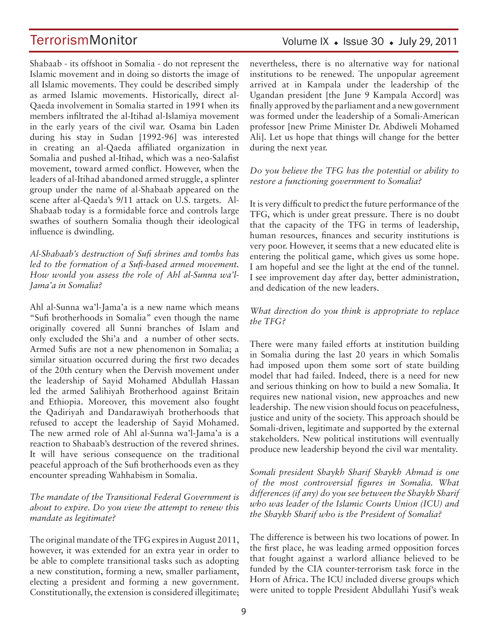### Volume IX  $\bullet$  Issue 30  $\bullet$  July 29, 2011

Shabaab - its offshoot in Somalia - do not represent the Islamic movement and in doing so distorts the image of all Islamic movements. They could be described simply as armed Islamic movements. Historically, direct al-Qaeda involvement in Somalia started in 1991 when its members infiltrated the al-Itihad al-Islamiya movement in the early years of the civil war. Osama bin Laden during his stay in Sudan [1992-96] was interested in creating an al-Qaeda affiliated organization in Somalia and pushed al-Itihad, which was a neo-Salafist movement, toward armed conflict. However, when the leaders of al-Itihad abandoned armed struggle, a splinter group under the name of al-Shabaab appeared on the scene after al-Qaeda's 9/11 attack on U.S. targets. Al-Shabaab today is a formidable force and controls large swathes of southern Somalia though their ideological influence is dwindling.

*Al-Shabaab's destruction of Sufi shrines and tombs has led to the formation of a Sufi-based armed movement. How would you assess the role of Ahl al-Sunna wa'l-Jama'a in Somalia?* 

Ahl al-Sunna wa'l-Jama'a is a new name which means "Sufi brotherhoods in Somalia" even though the name originally covered all Sunni branches of Islam and only excluded the Shi'a and a number of other sects. Armed Sufis are not a new phenomenon in Somalia; a similar situation occurred during the first two decades of the 20th century when the Dervish movement under the leadership of Sayid Mohamed Abdullah Hassan led the armed Salihiyah Brotherhood against Britain and Ethiopia. Moreover, this movement also fought the Qadiriyah and Dandarawiyah brotherhoods that refused to accept the leadership of Sayid Mohamed. The new armed role of Ahl al-Sunna wa'l-Jama'a is a reaction to Shabaab's destruction of the revered shrines. It will have serious consequence on the traditional peaceful approach of the Sufi brotherhoods even as they encounter spreading Wahhabism in Somalia.

#### *The mandate of the Transitional Federal Government is about to expire. Do you view the attempt to renew this mandate as legitimate?*

The original mandate of the TFG expires in August 2011, however, it was extended for an extra year in order to be able to complete transitional tasks such as adopting a new constitution, forming a new, smaller parliament, electing a president and forming a new government. Constitutionally, the extension is considered illegitimate; nevertheless, there is no alternative way for national institutions to be renewed. The unpopular agreement arrived at in Kampala under the leadership of the Ugandan president [the June 9 Kampala Accord] was finally approved by the parliament and a new government was formed under the leadership of a Somali-American professor [new Prime Minister Dr. Abdiweli Mohamed Ali]. Let us hope that things will change for the better during the next year.

#### *Do you believe the TFG has the potential or ability to restore a functioning government to Somalia?*

It is very difficult to predict the future performance of the TFG, which is under great pressure. There is no doubt that the capacity of the TFG in terms of leadership, human resources, finances and security institutions is very poor. However, it seems that a new educated elite is entering the political game, which gives us some hope. I am hopeful and see the light at the end of the tunnel. I see improvement day after day, better administration, and dedication of the new leaders.

#### *What direction do you think is appropriate to replace the TFG?*

There were many failed efforts at institution building in Somalia during the last 20 years in which Somalis had imposed upon them some sort of state building model that had failed. Indeed, there is a need for new and serious thinking on how to build a new Somalia. It requires new national vision, new approaches and new leadership. The new vision should focus on peacefulness, justice and unity of the society. This approach should be Somali-driven, legitimate and supported by the external stakeholders. New political institutions will eventually produce new leadership beyond the civil war mentality.

*Somali president Shaykh Sharif Shaykh Ahmad is one of the most controversial figures in Somalia. What differences (if any) do you see between the Shaykh Sharif who was leader of the Islamic Courts Union (ICU) and the Shaykh Sharif who is the President of Somalia?* 

The difference is between his two locations of power. In the first place, he was leading armed opposition forces that fought against a warlord alliance believed to be funded by the CIA counter-terrorism task force in the Horn of Africa. The ICU included diverse groups which were united to topple President Abdullahi Yusif's weak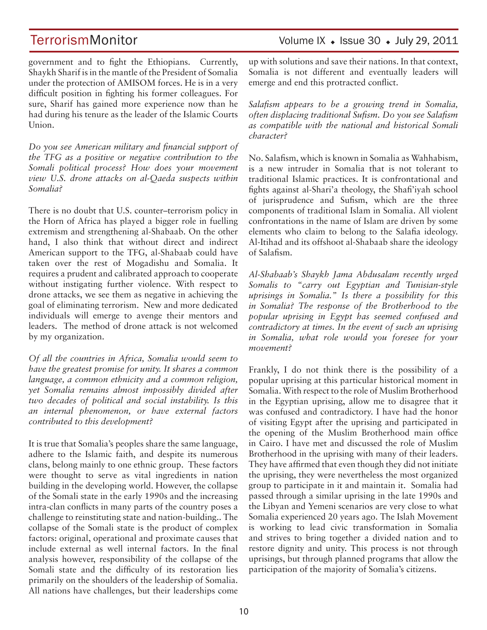## TerrorismMonitor Volume IX • Issue 30 • July 29, 2011

government and to fight the Ethiopians. Currently, Shaykh Sharif is in the mantle of the President of Somalia under the protection of AMISOM forces. He is in a very difficult position in fighting his former colleagues. For sure, Sharif has gained more experience now than he had during his tenure as the leader of the Islamic Courts Union.

*Do you see American military and financial support of the TFG as a positive or negative contribution to the Somali political process? How does your movement view U.S. drone attacks on al-Qaeda suspects within Somalia?*

There is no doubt that U.S. counter–terrorism policy in the Horn of Africa has played a bigger role in fuelling extremism and strengthening al-Shabaab. On the other hand, I also think that without direct and indirect American support to the TFG, al-Shabaab could have taken over the rest of Mogadishu and Somalia. It requires a prudent and calibrated approach to cooperate without instigating further violence. With respect to drone attacks, we see them as negative in achieving the goal of eliminating terrorism. New and more dedicated individuals will emerge to avenge their mentors and leaders. The method of drone attack is not welcomed by my organization.

*Of all the countries in Africa, Somalia would seem to have the greatest promise for unity. It shares a common language, a common ethnicity and a common religion, yet Somalia remains almost impossibly divided after two decades of political and social instability. Is this an internal phenomenon, or have external factors contributed to this development?* 

It is true that Somalia's peoples share the same language, adhere to the Islamic faith, and despite its numerous clans, belong mainly to one ethnic group. These factors were thought to serve as vital ingredients in nation building in the developing world. However, the collapse of the Somali state in the early 1990s and the increasing intra-clan conflicts in many parts of the country poses a challenge to reinstituting state and nation-building.. The collapse of the Somali state is the product of complex factors: original, operational and proximate causes that include external as well internal factors. In the final analysis however, responsibility of the collapse of the Somali state and the difficulty of its restoration lies primarily on the shoulders of the leadership of Somalia. All nations have challenges, but their leaderships come up with solutions and save their nations. In that context, Somalia is not different and eventually leaders will emerge and end this protracted conflict.

*Salafism appears to be a growing trend in Somalia, often displacing traditional Sufism. Do you see Salafism as compatible with the national and historical Somali character?* 

No. Salafism, which is known in Somalia as Wahhabism, is a new intruder in Somalia that is not tolerant to traditional Islamic practices. It is confrontational and fights against al-Shari'a theology, the Shafi'iyah school of jurisprudence and Sufism, which are the three components of traditional Islam in Somalia. All violent confrontations in the name of Islam are driven by some elements who claim to belong to the Salafia ideology. Al-Itihad and its offshoot al-Shabaab share the ideology of Salafism.

*Al-Shabaab's Shaykh Jama Abdusalam recently urged Somalis to "carry out Egyptian and Tunisian-style uprisings in Somalia." Is there a possibility for this in Somalia? The response of the Brotherhood to the popular uprising in Egypt has seemed confused and contradictory at times. In the event of such an uprising in Somalia, what role would you foresee for your movement?*

Frankly, I do not think there is the possibility of a popular uprising at this particular historical moment in Somalia. With respect to the role of Muslim Brotherhood in the Egyptian uprising, allow me to disagree that it was confused and contradictory. I have had the honor of visiting Egypt after the uprising and participated in the opening of the Muslim Brotherhood main office in Cairo. I have met and discussed the role of Muslim Brotherhood in the uprising with many of their leaders. They have affirmed that even though they did not initiate the uprising, they were nevertheless the most organized group to participate in it and maintain it. Somalia had passed through a similar uprising in the late 1990s and the Libyan and Yemeni scenarios are very close to what Somalia experienced 20 years ago. The Islah Movement is working to lead civic transformation in Somalia and strives to bring together a divided nation and to restore dignity and unity. This process is not through uprisings, but through planned programs that allow the participation of the majority of Somalia's citizens.